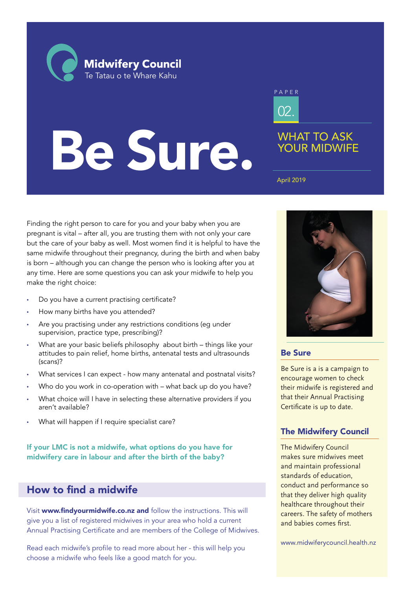**Midwifery Council** Te Tatau o te Whare Kahu

# Be Sure.

02. PAPER

## WHAT TO ASK YOUR MIDWIFE

April 2019

Finding the right person to care for you and your baby when you are pregnant is vital – after all, you are trusting them with not only your care but the care of your baby as well. Most women find it is helpful to have the same midwife throughout their pregnancy, during the birth and when baby is born – although you can change the person who is looking after you at any time. Here are some questions you can ask your midwife to help you make the right choice:

- Do you have a current practising certificate?
- How many births have you attended?
- Are you practising under any restrictions conditions (eq under supervision, practice type, prescribing)?
- What are your basic beliefs philosophy about birth things like your attitudes to pain relief, home births, antenatal tests and ultrasounds (scans)?
- What services I can expect how many antenatal and postnatal visits?
- Who do you work in co-operation with what back up do you have?
- What choice will I have in selecting these alternative providers if you aren't available?
- What will happen if I require specialist care?

If your LMC is not a midwife, what options do you have for midwifery care in labour and after the birth of the baby?

# How to find a midwife

Visit www.findyourmidwife.co.nz and follow the instructions. This will give you a list of registered midwives in your area who hold a current Annual Practising Certificate and are members of the College of Midwives.

Read each midwife's profile to read more about her - this will help you choose a midwife who feels like a good match for you.



#### Be Sure

Be Sure is a is a campaign to encourage women to check their midwife is registered and that their Annual Practising Certificate is up to date.

## The Midwifery Council

The Midwifery Council makes sure midwives meet and maintain professional standards of education, conduct and performance so that they deliver high quality healthcare throughout their careers. The safety of mothers and babies comes first.

www.midwiferycouncil.health.nz